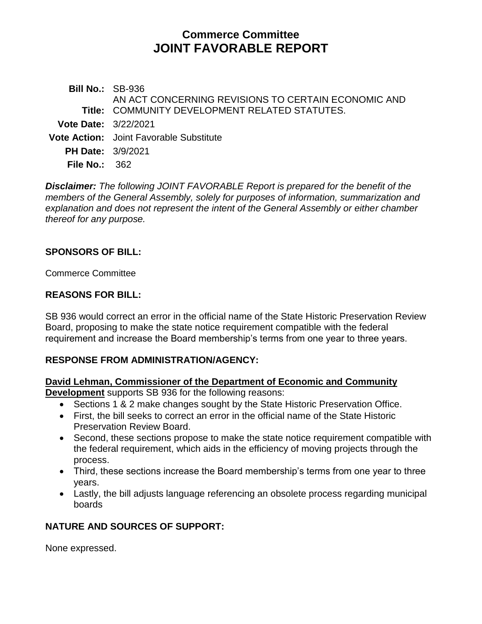# **Commerce Committee JOINT FAVORABLE REPORT**

**Bill No.:** SB-936 **Title:** COMMUNITY DEVELOPMENT RELATED STATUTES. AN ACT CONCERNING REVISIONS TO CERTAIN ECONOMIC AND **Vote Date:** 3/22/2021 **Vote Action:** Joint Favorable Substitute **PH Date:** 3/9/2021 **File No.:** 362

*Disclaimer: The following JOINT FAVORABLE Report is prepared for the benefit of the members of the General Assembly, solely for purposes of information, summarization and explanation and does not represent the intent of the General Assembly or either chamber thereof for any purpose.*

### **SPONSORS OF BILL:**

Commerce Committee

#### **REASONS FOR BILL:**

SB 936 would correct an error in the official name of the State Historic Preservation Review Board, proposing to make the state notice requirement compatible with the federal requirement and increase the Board membership's terms from one year to three years.

### **RESPONSE FROM ADMINISTRATION/AGENCY:**

#### **David Lehman, Commissioner of the Department of Economic and Community Development** supports SB 936 for the following reasons:

- Sections 1 & 2 make changes sought by the State Historic Preservation Office.
- First, the bill seeks to correct an error in the official name of the State Historic Preservation Review Board.
- Second, these sections propose to make the state notice requirement compatible with the federal requirement, which aids in the efficiency of moving projects through the process.
- Third, these sections increase the Board membership's terms from one year to three years.
- Lastly, the bill adjusts language referencing an obsolete process regarding municipal boards

### **NATURE AND SOURCES OF SUPPORT:**

None expressed.